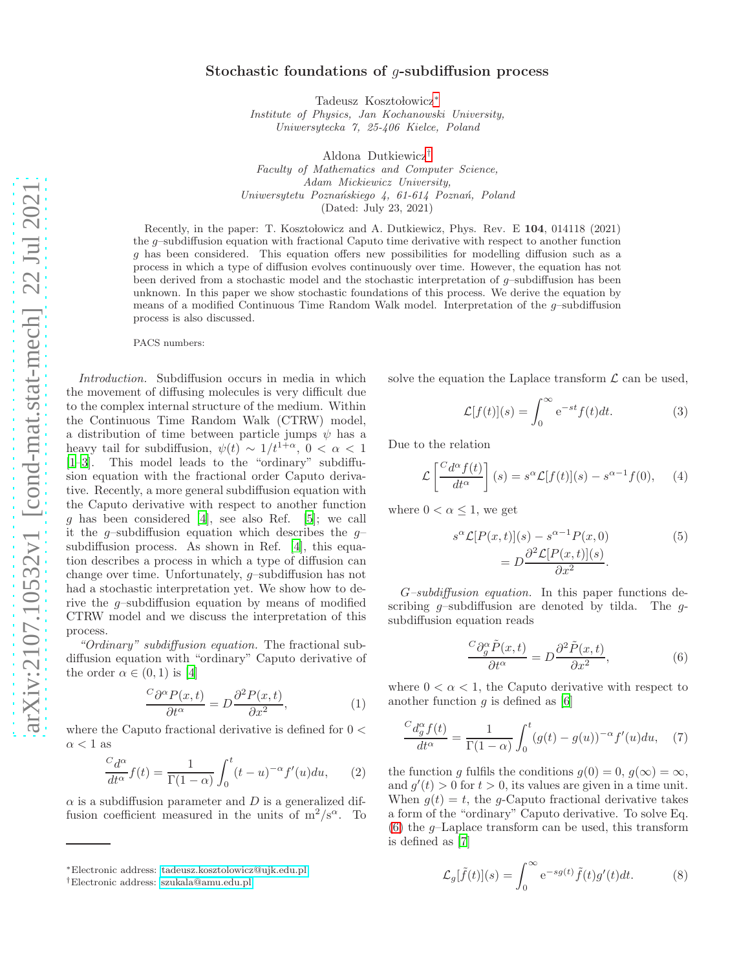## Stochastic foundations of g-subdiffusion process

Tadeusz Kosztołowicz\*

Institute of Physics, Jan Kochanowski University, Uniwersytecka 7, 25-406 Kielce, Poland

Aldona Dutkiewicz[†](#page-0-1) Faculty of Mathematics and Computer Science, Adam Mickiewicz University, Uniwersytetu Poznańskiego 4, 61-614 Poznań, Poland (Dated: July 23, 2021)

Recently, in the paper: T. Kosztołowicz and A. Dutkiewicz, Phys. Rev. E 104, 014118 (2021) the g–subdiffusion equation with fractional Caputo time derivative with respect to another function g has been considered. This equation offers new possibilities for modelling diffusion such as a process in which a type of diffusion evolves continuously over time. However, the equation has not been derived from a stochastic model and the stochastic interpretation of  $g$ -subdiffusion has been unknown. In this paper we show stochastic foundations of this process. We derive the equation by means of a modified Continuous Time Random Walk model. Interpretation of the g–subdiffusion process is also discussed.

PACS numbers:

Introduction. Subdiffusion occurs in media in which the movement of diffusing molecules is very difficult due to the complex internal structure of the medium. Within the Continuous Time Random Walk (CTRW) model, a distribution of time between particle jumps  $\psi$  has a heavy tail for subdiffusion,  $\psi(t) \sim 1/t^{1+\alpha}$ ,  $0 < \alpha < 1$ [\[1](#page-3-0)[–3\]](#page-3-1). This model leads to the "ordinary" subdiffusion equation with the fractional order Caputo derivative. Recently, a more general subdiffusion equation with the Caputo derivative with respect to another function g has been considered [\[4](#page-3-2)], see also Ref. [\[5\]](#page-3-3); we call it the g-subdiffusion equation which describes the  $g$ subdiffusion process. As shown in Ref. [\[4\]](#page-3-2), this equation describes a process in which a type of diffusion can change over time. Unfortunately, g–subdiffusion has not had a stochastic interpretation yet. We show how to derive the  $g$ -subdiffusion equation by means of modified CTRW model and we discuss the interpretation of this process.

"Ordinary" subdiffusion equation. The fractional subdiffusion equation with "ordinary" Caputo derivative of the order  $\alpha \in (0,1)$  is [\[4\]](#page-3-2)

$$
\frac{C\partial^{\alpha}P(x,t)}{\partial t^{\alpha}} = D\frac{\partial^{2}P(x,t)}{\partial x^{2}},
$$
\n(1)

where the Caputo fractional derivative is defined for  $0 <$  $\alpha < 1$  as

$$
\frac{C d^{\alpha}}{dt^{\alpha}} f(t) = \frac{1}{\Gamma(1-\alpha)} \int_0^t (t-u)^{-\alpha} f'(u) du, \qquad (2)
$$

 $\alpha$  is a subdiffusion parameter and D is a generalized diffusion coefficient measured in the units of  $m^2/s^{\alpha}$ . To solve the equation the Laplace transform  $\mathcal L$  can be used,

$$
\mathcal{L}[f(t)](s) = \int_0^\infty e^{-st} f(t) dt.
$$
 (3)

Due to the relation

$$
\mathcal{L}\left[\frac{C d^{\alpha} f(t)}{dt^{\alpha}}\right](s) = s^{\alpha} \mathcal{L}[f(t)](s) - s^{\alpha - 1} f(0), \quad (4)
$$

where  $0 < \alpha \leq 1$ , we get

<span id="page-0-3"></span>
$$
s^{\alpha} \mathcal{L}[P(x,t)](s) - s^{\alpha - 1} P(x, 0)
$$
  
= 
$$
D \frac{\partial^2 \mathcal{L}[P(x,t)](s)}{\partial x^2}.
$$
 (5)

G–subdiffusion equation. In this paper functions describing  $q$ -subdiffusion are denoted by tilda. The  $q$ subdiffusion equation reads

<span id="page-0-2"></span>
$$
\frac{C\partial_g^{\alpha}\tilde{P}(x,t)}{\partial t^{\alpha}} = D\frac{\partial^2\tilde{P}(x,t)}{\partial x^2},
$$
\n(6)

where  $0 < \alpha < 1$ , the Caputo derivative with respect to another function  $q$  is defined as [\[6](#page-3-4)]

$$
\frac{C d_g^{\alpha} f(t)}{dt^{\alpha}} = \frac{1}{\Gamma(1-\alpha)} \int_0^t (g(t) - g(u))^{-\alpha} f'(u) du, \quad (7)
$$

the function g fulfils the conditions  $g(0) = 0, g(\infty) = \infty$ , and  $g'(t) > 0$  for  $t > 0$ , its values are given in a time unit. When  $g(t) = t$ , the g-Caputo fractional derivative takes a form of the "ordinary" Caputo derivative. To solve Eq. [\(6\)](#page-0-2) the  $q$ -Laplace transform can be used, this transform is defined as [\[7](#page-3-5)]

$$
\mathcal{L}_g[\tilde{f}(t)](s) = \int_0^\infty e^{-sg(t)} \tilde{f}(t)g'(t)dt.
$$
 (8)

<span id="page-0-0"></span><sup>∗</sup>Electronic address: [tadeusz.kosztolowicz@ujk.edu.pl](mailto:tadeusz.kosztolowicz@ujk.edu.pl)

<span id="page-0-1"></span><sup>†</sup>Electronic address: [szukala@amu.edu.pl](mailto:szukala@amu.edu.pl)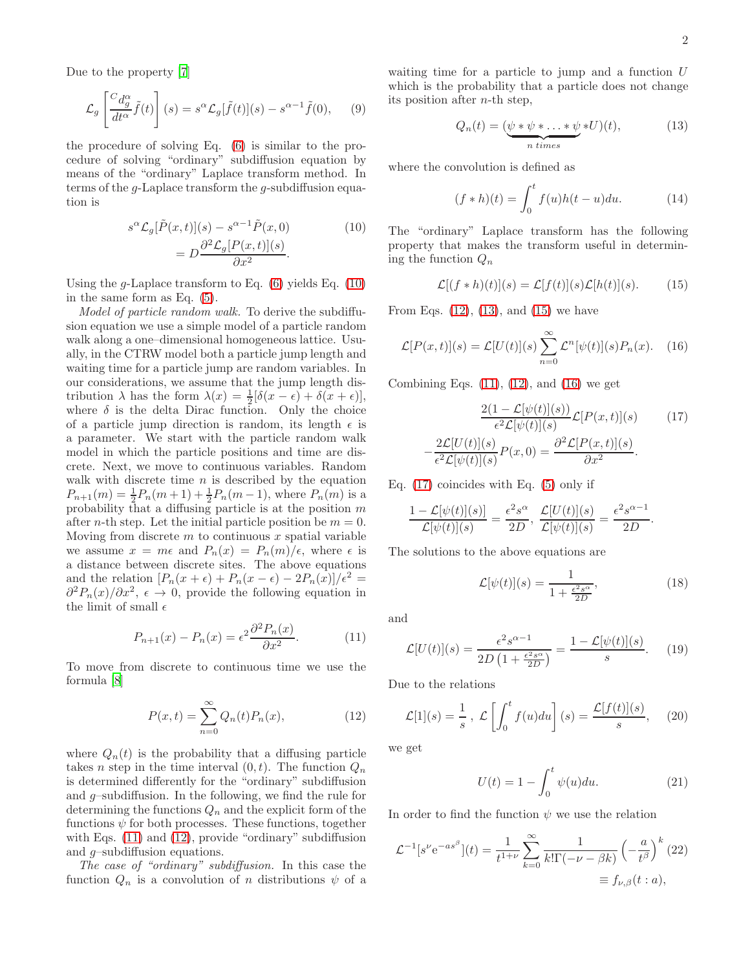Due to the property [\[7\]](#page-3-5)

$$
\mathcal{L}_g \left[ \frac{C d_g^{\alpha}}{dt^{\alpha}} \tilde{f}(t) \right] (s) = s^{\alpha} \mathcal{L}_g[\tilde{f}(t)](s) - s^{\alpha - 1} \tilde{f}(0), \quad (9)
$$

the procedure of solving Eq. [\(6\)](#page-0-2) is similar to the procedure of solving "ordinary" subdiffusion equation by means of the "ordinary" Laplace transform method. In terms of the g-Laplace transform the g-subdiffusion equation is

<span id="page-1-0"></span>
$$
s^{\alpha} \mathcal{L}_g[\tilde{P}(x,t)](s) - s^{\alpha - 1} \tilde{P}(x,0)
$$
  
= 
$$
D \frac{\partial^2 \mathcal{L}_g[P(x,t)](s)}{\partial x^2}.
$$
 (10)

Using the g-Laplace transform to Eq.  $(6)$  yields Eq.  $(10)$ in the same form as Eq. [\(5\)](#page-0-3).

Model of particle random walk. To derive the subdiffusion equation we use a simple model of a particle random walk along a one–dimensional homogeneous lattice. Usually, in the CTRW model both a particle jump length and waiting time for a particle jump are random variables. In our considerations, we assume that the jump length distribution  $\lambda$  has the form  $\lambda(x) = \frac{1}{2}[\delta(x - \epsilon) + \delta(x + \epsilon)],$ where  $\delta$  is the delta Dirac function. Only the choice of a particle jump direction is random, its length  $\epsilon$  is a parameter. We start with the particle random walk model in which the particle positions and time are discrete. Next, we move to continuous variables. Random walk with discrete time  $n$  is described by the equation  $P_{n+1}(m) = \frac{1}{2}P_n(m+1) + \frac{1}{2}P_n(m-1)$ , where  $P_n(m)$  is a probability that a diffusing particle is at the position  $m$ after *n*-th step. Let the initial particle position be  $m = 0$ . Moving from discrete  $m$  to continuous  $x$  spatial variable we assume  $x = m\epsilon$  and  $P_n(x) = P_n(m)/\epsilon$ , where  $\epsilon$  is a distance between discrete sites. The above equations and the relation  $[P_n(x + \epsilon) + P_n(x - \epsilon) - 2P_n(x)]/\epsilon^2$  $\partial^2 P_n(x)/\partial x^2$ ,  $\epsilon \to 0$ , provide the following equation in the limit of small  $\epsilon$ 

<span id="page-1-1"></span>
$$
P_{n+1}(x) - P_n(x) = \epsilon^2 \frac{\partial^2 P_n(x)}{\partial x^2}.
$$
 (11)

To move from discrete to continuous time we use the formula [\[8](#page-3-6)]

<span id="page-1-2"></span>
$$
P(x,t) = \sum_{n=0}^{\infty} Q_n(t) P_n(x), \qquad (12)
$$

where  $Q_n(t)$  is the probability that a diffusing particle takes *n* step in the time interval  $(0, t)$ . The function  $Q_n$ is determined differently for the "ordinary" subdiffusion and  $q$ -subdiffusion. In the following, we find the rule for determining the functions  $Q_n$  and the explicit form of the functions  $\psi$  for both processes. These functions, together with Eqs. [\(11\)](#page-1-1) and [\(12\)](#page-1-2), provide "ordinary" subdiffusion and g–subdiffusion equations.

The case of "ordinary" subdiffusion. In this case the function  $Q_n$  is a convolution of n distributions  $\psi$  of a

waiting time for a particle to jump and a function  $U$ which is the probability that a particle does not change its position after  $n$ -th step,

<span id="page-1-3"></span>
$$
Q_n(t) = \underbrace{(\psi * \psi * \dots * \psi}_{n \text{ times}} * U)(t), \tag{13}
$$

where the convolution is defined as

$$
(f * h)(t) = \int_0^t f(u)h(t - u)du.
$$
 (14)

The "ordinary" Laplace transform has the following property that makes the transform useful in determining the function  $Q_n$ 

<span id="page-1-4"></span>
$$
\mathcal{L}[(f * h)(t)](s) = \mathcal{L}[f(t)](s)\mathcal{L}[h(t)](s).
$$
 (15)

From Eqs.  $(12)$ ,  $(13)$ , and  $(15)$  we have

<span id="page-1-5"></span>
$$
\mathcal{L}[P(x,t)](s) = \mathcal{L}[U(t)](s) \sum_{n=0}^{\infty} \mathcal{L}^n[\psi(t)](s) P_n(x). \quad (16)
$$

Combining Eqs.  $(11)$ ,  $(12)$ , and  $(16)$  we get

<span id="page-1-6"></span>
$$
\frac{2(1-\mathcal{L}[\psi(t)](s))}{\epsilon^2 \mathcal{L}[\psi(t)](s)} \mathcal{L}[P(x,t)](s)
$$
(17)  

$$
-\frac{2\mathcal{L}[U(t)](s)}{\epsilon^2 \mathcal{L}[\psi(t)](s)} P(x,0) = \frac{\partial^2 \mathcal{L}[P(x,t)](s)}{\partial x^2}.
$$

Eq.  $(17)$  coincides with Eq.  $(5)$  only if

$$
\frac{1-\mathcal{L}[\psi(t)](s)]}{\mathcal{L}[\psi(t)](s)} = \frac{\epsilon^2 s^{\alpha}}{2D}, \frac{\mathcal{L}[U(t)](s)}{\mathcal{L}[\psi(t)](s)} = \frac{\epsilon^2 s^{\alpha-1}}{2D}.
$$

The solutions to the above equations are

<span id="page-1-7"></span>
$$
\mathcal{L}[\psi(t)](s) = \frac{1}{1 + \frac{\epsilon^2 s^{\alpha}}{2D}},\tag{18}
$$

and

<span id="page-1-9"></span>
$$
\mathcal{L}[U(t)](s) = \frac{\epsilon^2 s^{\alpha - 1}}{2D\left(1 + \frac{\epsilon^2 s^{\alpha}}{2D}\right)} = \frac{1 - \mathcal{L}[\psi(t)](s)}{s}.
$$
 (19)

Due to the relations

$$
\mathcal{L}[1](s) = \frac{1}{s}, \mathcal{L}\left[\int_0^t f(u)du\right](s) = \frac{\mathcal{L}[f(t)](s)}{s}, \quad (20)
$$

we get

$$
U(t) = 1 - \int_0^t \psi(u) du.
$$
 (21)

In order to find the function  $\psi$  we use the relation

<span id="page-1-8"></span>
$$
\mathcal{L}^{-1}[s^{\nu}e^{-as^{\beta}}](t) = \frac{1}{t^{1+\nu}} \sum_{k=0}^{\infty} \frac{1}{k!\Gamma(-\nu-\beta k)} \left(-\frac{a}{t^{\beta}}\right)^{k}(22)
$$

$$
\equiv f_{\nu,\beta}(t:a),
$$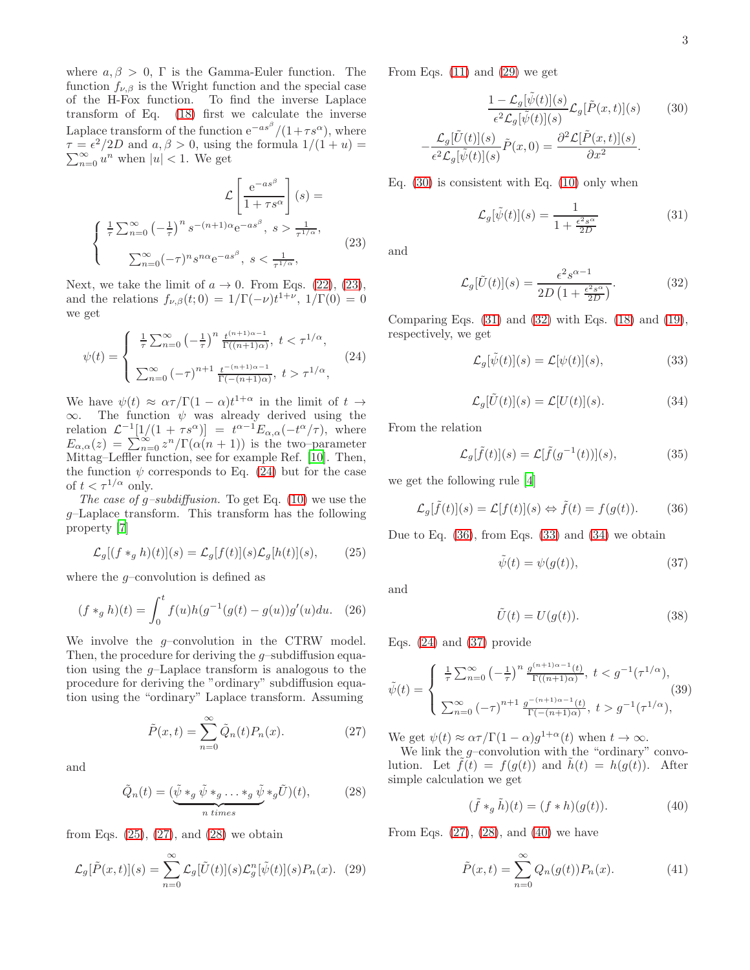where  $a, \beta > 0$ , Γ is the Gamma-Euler function. The function  $f_{\nu,\beta}$  is the Wright function and the special case of the H-Fox function. To find the inverse Laplace transform of Eq. [\(18\)](#page-1-7) first we calculate the inverse Laplace transform of the function  $e^{-as^{\beta}}/(1+\tau s^{\alpha})$ , where  $\tau = \epsilon^2/2D$  and  $a, \beta > 0$ , using the formula  $1/(1 + u) =$  $\sum_{n=0}^{\infty} u^n$  when  $|u| < 1$ . We get

<span id="page-2-0"></span>
$$
\mathcal{L}\left[\frac{e^{-as^{\beta}}}{1+\tau s^{\alpha}}\right](s) =
$$
\n
$$
\begin{cases}\n\frac{1}{\tau}\sum_{n=0}^{\infty}\left(-\frac{1}{\tau}\right)^{n}s^{-(n+1)\alpha}e^{-as^{\beta}}, & s > \frac{1}{\tau^{1/\alpha}},\\ \sum_{n=0}^{\infty}(-\tau)^{n}s^{n\alpha}e^{-as^{\beta}}, & s < \frac{1}{\tau^{1/\alpha}},\n\end{cases}
$$
\n(23)

Next, we take the limit of  $a \to 0$ . From Eqs. [\(22\)](#page-1-8), [\(23\)](#page-2-0), and the relations  $f_{\nu,\beta}(t;0) = 1/\Gamma(-\nu)t^{1+\nu}, 1/\Gamma(0) = 0$ we get

<span id="page-2-1"></span>
$$
\psi(t) = \begin{cases}\n\frac{1}{\tau} \sum_{n=0}^{\infty} \left( -\frac{1}{\tau} \right)^n \frac{t^{(n+1)\alpha - 1}}{\Gamma((n+1)\alpha)}, \ t < \tau^{1/\alpha}, \\
\sum_{n=0}^{\infty} \left( -\tau \right)^{n+1} \frac{t^{-(n+1)\alpha - 1}}{\Gamma(-(n+1)\alpha)}, \ t > \tau^{1/\alpha},\n\end{cases} \tag{24}
$$

We have  $\psi(t) \approx \alpha \tau / \Gamma(1-\alpha) t^{1+\alpha}$  in the limit of  $t \to$  $\infty$ . The function  $\psi$  was already derived using the relation  $\mathcal{L}^{-1}[1/(1+\tau s^{\alpha})] = t^{\alpha-1} E_{\alpha,\alpha}(-t^{\alpha}/\tau)$ , where  $E_{\alpha,\alpha}(z) = \sum_{n=0}^{\infty} z^n / \Gamma(\alpha(n+1))$  is the two–parameter Mittag–Leffler function, see for example Ref. [\[10\]](#page-3-7). Then, the function  $\psi$  corresponds to Eq. [\(24\)](#page-2-1) but for the case of  $t < \tau^{1/\alpha}$  only.

The case of g-subdiffusion. To get Eq.  $(10)$  we use the g–Laplace transform. This transform has the following property [\[7](#page-3-5)]

<span id="page-2-2"></span>
$$
\mathcal{L}_g[(f *_g h)(t)](s) = \mathcal{L}_g[f(t)](s)\mathcal{L}_g[h(t)](s),\tag{25}
$$

where the  $q$ -convolution is defined as

$$
(f *_{g} h)(t) = \int_{0}^{t} f(u)h(g^{-1}(g(t) - g(u))g'(u)du.
$$
 (26)

We involve the  $g$ -convolution in the CTRW model. Then, the procedure for deriving the  $q$ -subdiffusion equation using the g–Laplace transform is analogous to the procedure for deriving the "ordinary" subdiffusion equation using the "ordinary" Laplace transform. Assuming

<span id="page-2-3"></span>
$$
\tilde{P}(x,t) = \sum_{n=0}^{\infty} \tilde{Q}_n(t) P_n(x).
$$
\n(27)

and

<span id="page-2-4"></span>
$$
\tilde{Q}_n(t) = \underbrace{(\tilde{\psi} *_{g} \tilde{\psi} *_{g} \dots *_{g} \tilde{\psi} *_{g} \tilde{U})}_{n \text{ times}}(28)
$$

from Eqs.  $(25)$ ,  $(27)$ , and  $(28)$  we obtain

<span id="page-2-5"></span>
$$
\mathcal{L}_g[\tilde{P}(x,t)](s) = \sum_{n=0}^{\infty} \mathcal{L}_g[\tilde{U}(t)](s)\mathcal{L}_g^n[\tilde{\psi}(t)](s)P_n(x). \tag{29}
$$

From Eqs.  $(11)$  and  $(29)$  we get

<span id="page-2-6"></span>
$$
\frac{1 - \mathcal{L}_g[\tilde{\psi}(t)](s)}{\epsilon^2 \mathcal{L}_g[\tilde{\psi}(t)](s)} \mathcal{L}_g[\tilde{P}(x,t)](s)
$$
(30)
$$
-\frac{\mathcal{L}_g[\tilde{U}(t)](s)}{\epsilon^2 \mathcal{L}_g[\tilde{\psi}(t)](s)} \tilde{P}(x,0) = \frac{\partial^2 \mathcal{L}[\tilde{P}(x,t)](s)}{\partial x^2}.
$$

Eq. [\(30\)](#page-2-6) is consistent with Eq. [\(10\)](#page-1-0) only when

<span id="page-2-7"></span>
$$
\mathcal{L}_g[\tilde{\psi}(t)](s) = \frac{1}{1 + \frac{\epsilon^2 s^{\alpha}}{2D}}\tag{31}
$$

and

<span id="page-2-8"></span>
$$
\mathcal{L}_g[\tilde{U}(t)](s) = \frac{\epsilon^2 s^{\alpha - 1}}{2D\left(1 + \frac{\epsilon^2 s^{\alpha}}{2D}\right)}.\tag{32}
$$

Comparing Eqs.  $(31)$  and  $(32)$  with Eqs.  $(18)$  and  $(19)$ , respectively, we get

<span id="page-2-10"></span>
$$
\mathcal{L}_g[\tilde{\psi}(t)](s) = \mathcal{L}[\psi(t)](s),\tag{33}
$$

<span id="page-2-11"></span>
$$
\mathcal{L}_g[\tilde{U}(t)](s) = \mathcal{L}[U(t)](s). \tag{34}
$$

From the relation

$$
\mathcal{L}_g[\tilde{f}(t)](s) = \mathcal{L}[\tilde{f}(g^{-1}(t))](s), \tag{35}
$$

we get the following rule [\[4](#page-3-2)]

<span id="page-2-9"></span>
$$
\mathcal{L}_g[\tilde{f}(t)](s) = \mathcal{L}[f(t)](s) \Leftrightarrow \tilde{f}(t) = f(g(t)). \tag{36}
$$

Due to Eq.  $(36)$ , from Eqs.  $(33)$  and  $(34)$  we obtain

<span id="page-2-12"></span>
$$
\tilde{\psi}(t) = \psi(g(t)),\tag{37}
$$

and

$$
\tilde{U}(t) = U(g(t)).\tag{38}
$$

Eqs. [\(24\)](#page-2-1) and [\(37\)](#page-2-12) provide

$$
\tilde{\psi}(t) = \begin{cases}\n\frac{1}{\tau} \sum_{n=0}^{\infty} \left( -\frac{1}{\tau} \right)^n \frac{g^{(n+1)\alpha - 1}(t)}{\Gamma((n+1)\alpha)}, \ t < g^{-1}(\tau^{1/\alpha}), \\
\sum_{n=0}^{\infty} \left( -\tau \right)^{n+1} \frac{g^{-(n+1)\alpha - 1}(t)}{\Gamma(-(n+1)\alpha)}, \ t > g^{-1}(\tau^{1/\alpha}),\n\end{cases} (39)
$$

We get  $\psi(t) \approx \alpha \tau / \Gamma(1-\alpha) g^{1+\alpha}(t)$  when  $t \to \infty$ .

We link the  $q$ -convolution with the "ordinary" convolution. Let  $f(t) = f(q(t))$  and  $h(t) = h(q(t))$ . After simple calculation we get

<span id="page-2-13"></span>
$$
(\tilde{f} *_{g} \tilde{h})(t) = (f * h)(g(t)).
$$
\n(40)

From Eqs.  $(27)$ ,  $(28)$ , and  $(40)$  we have

<span id="page-2-14"></span>
$$
\tilde{P}(x,t) = \sum_{n=0}^{\infty} Q_n(g(t)) P_n(x).
$$
 (41)